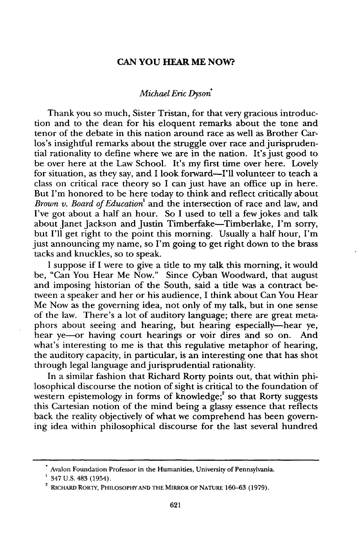## **CAN YOU HEAR ME NOW?**

## *Michael Eric Dyson'*

Thank you so much, Sister Tristan, for that very gracious introduction and to the dean for his eloquent remarks about the tone and tenor of the debate in this nation around race as well as Brother Carlos's insightful remarks about the struggle over race and jurisprudential rationality to define where we are in the nation. It's just good to be over here at the Law School. It's my first time over here. Lovely for situation, as they say, and I look forward-I'll volunteer to teach a class on critical race theory so I can just have an office up in here. But I'm honored to be here today to think and reflect critically about *Brown v. Board of Education'* and the intersection of race and law, and I've got about a half an hour. So I used to tell a few jokes and talk about Janet Jackson and Justin Timberfake-Timberlake, I'm sorry, but I'll get right to the point this morning. Usually a half hour, I'm just announcing my name, so I'm going to get right down to the brass tacks and knuckles, so to speak.

I suppose if I were to give a title to my talk this morning, it would be, "Can You Hear Me Now." Since Cyban Woodward, that august and imposing historian of the South, said a title was a contract between a speaker and her or his audience, I think about Can You Hear Me Now as the governing idea, not only of my talk, but in one sense of the law. There's a lot of auditory language; there are great metaphors about seeing and hearing, but hearing especially-hear ye, hear ye—or having court hearings or voir dires and so on. And what's interesting to me is that this regulative metaphor of hearing, the auditory capacity, in particular, is an interesting one that has shot through legal language and jurisprudential rationality.

In a similar fashion that Richard Rorty points out, that within philosophical discourse the notion of sight is critical to the foundation of western epistemology in forms of knowledge;<sup>2</sup> so that Rorty suggests this Cartesian notion of the mind being a glassy essence that reflects back the reality objectively of what we comprehend has been governing idea within philosophical discourse for the last several hundred

Avalon Foundation Professor in the Humanities, University of Pennsylvania.

<sup>347</sup> **U.S.** 483 (1954).

**<sup>2</sup>** RICHARD RORTY, PHILOSOPHY **AND** THE MIRROR OF NATURE 160-63 (1979).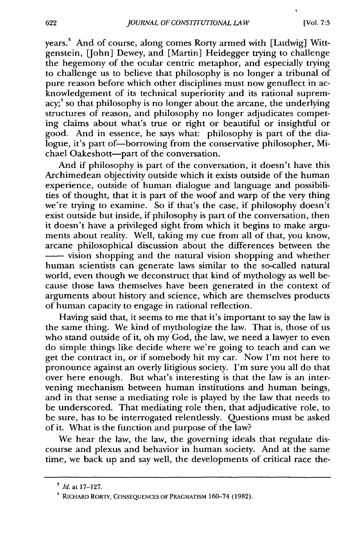years.' And of course, along comes Rorty armed with [Ludwig] Wittgenstein, [John] Dewey, and [Martin] Heidegger trying to challenge the hegemony of the ocular centric metaphor, and especially trying to challenge us to believe that philosophy is no longer a tribunal of pure reason before which other disciplines must now genuflect in acknowledgement of its technical superiority and its rational supremacy;<sup>4</sup> so that philosophy is no longer about the arcane, the underlying structures of reason, and philosophy no longer adjudicates competing claims about what's true or right or beautiful or insightful or good. And in essence, he says what: philosophy is part of the dialogue, it's part of-borrowing from the conservative philosopher, Michael Oakeshott-part of the conversation.

And if philosophy is part of the conversation, it doesn't have this Archimedean objectivity outside which it exists outside of the human experience, outside of human dialogue and language and possibilities of thought, that it is part of the woof and warp of the very thing we're trying to examine. So if that's the case, if philosophy doesn't exist outside but inside, if philosophy is part of the conversation, then it doesn't have a privileged sight from which it begins to make arguments about reality. Well, taking my cue from all of that, you know, arcane philosophical discussion about the differences between the -vision shopping and the natural vision shopping and whether human scientists can generate laws similar to the so-called natural world, even though we deconstruct that kind of mythology as well because those laws themselves have been generated in the context of arguments about history and science, which are themselves products of human capacity to engage in rational reflection.

Having said that, it seems to me that it's important to say the law is the same thing. We kind of mythologize the law. That is, those of us who stand outside of it, oh my God, the law, we need a lawyer to even do simple things like decide where we're going to teach and can we get the contract in, or if somebody hit my car. Now I'm not here to pronounce against an overly litigious society. I'm sure you all do that over here enough. But what's interesting is that the law is an intervening mechanism between human institutions and human beings, and in that sense a mediating role is played by the law that needs to be underscored. That mediating role then, that adjudicative role, to be sure, has to be interrogated relentlessly. Questions must be asked of it. What is the function and purpose of the law?

We hear the law, the law, the governing ideals that regulate discourse and plexus and behavior in human society. And at the same time, we back up and say well, the developments of critical race the-

**<sup>3</sup> Id.** at **17-127.**

<sup>4</sup> RICHARD RORTY, **CONSEQUENCES OF** PRAGMATISM 160-74 **(1982).**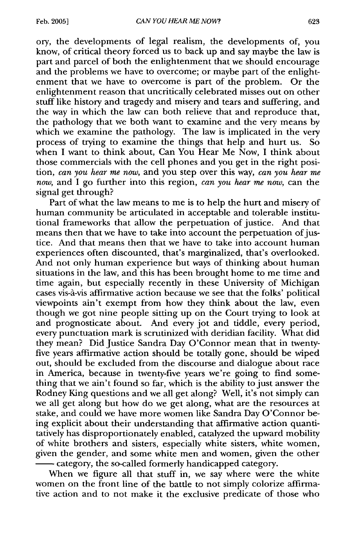ory, the developments of legal realism, the developments of, you know, of critical theory forced us to back up and say maybe the law is part and parcel of both the enlightenment that we should encourage and the problems we have to overcome; or maybe part of the enlightenment that we have to overcome is part of the problem. Or the enlightenment reason that uncritically celebrated misses out on other stuff like history and tragedy and misery and tears and suffering, and the way in which the law can both relieve that and reproduce that, the pathology that we both want to examine and the very means by which we examine the pathology. The law is implicated in the very process of trying to examine the things that help and hurt us. So when I want to think about, Can You Hear Me Now, I think about those commercials with the cell phones and you get in the right position, *can you hear me now,* and you step over this way, *can you hear me now,* and I go further into this region, *can you hear me now,* can the signal get through?

Part of what the law means to me is to help the hurt and misery of human community be articulated in acceptable and tolerable institutional frameworks that allow the perpetuation of justice. And that means then that we have to take into account the perpetuation of justice. And that means then that we have to take into account human experiences often discounted, that's marginalized, that's overlooked. And not only human experience but ways of thinking about human situations in the law, and this has been brought home to me time and time again, but especially recently in these University of Michigan cases vis-à-vis affirmative action because we see that the folks' political viewpoints ain't exempt from how they think about the law, even though we got nine people sitting up on the Court trying to look at and prognosticate about. And every jot and tiddle, every period, every punctuation mark is scrutinized with deridian facility. What did they mean? Did Justice Sandra Day O'Connor mean that in twentyfive years affirmative action should be totally gone, should be wiped out, should be excluded from the discourse and dialogue about race in America, because in twenty-five years we're going to find something that we ain't found so far, which is the ability to just answer the Rodney King questions and we all get along? Well, it's not simply can we all get along but how do we get along, what are the resources at stake, and could we have more women like Sandra Day O'Connor being explicit about their understanding that affirmative action quantitatively has disproportionately enabled, catalyzed the upward mobility of white brothers and sisters, especially white sisters, white women, given the gender, and some white men and women, given the other

**-** category, the so-called formerly handicapped category.

When we figure all that stuff in, we say where were the white women on the front line of the battle to not simply colorize affirmative action and to not make it the exclusive predicate of those who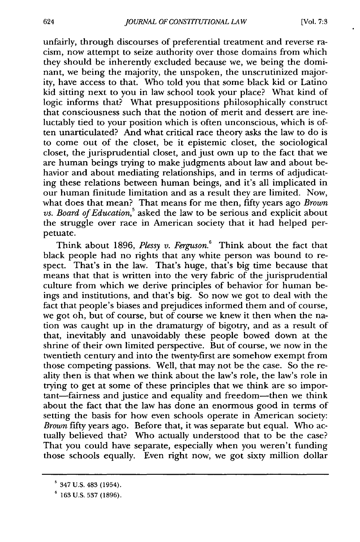unfairly, through discourses of preferential treatment and reverse racism, now attempt to seize authority over those domains from which they should be inherently excluded because we, we being the dominant, we being the majority, the unspoken, the unscrutinized majority, have access to that. Who told you that some black kid or Latino kid sitting next to you in law school took your place? What kind of logic informs that? What presuppositions philosophically construct that consciousness such that the notion of merit and dessert are ineluctably tied to your position which is often unconscious, which is often unarticulated? And what critical race theory asks the law to do is to come out of the closet, be it epistemic closet, the sociological closet, the jurisprudential closet, and just own up to the fact that we are human beings trying to make judgments about law and about behavior and about mediating relationships, and in terms of adjudicating these relations between human beings, and it's all implicated in our human finitude limitation and as a result they are limited. Now, what does that mean? That means for me then, fifty years ago *Brown vs. Board of Education,5* asked the law to be serious and explicit about the struggle over race in American society that it had helped perpetuate.

Think about 1896, *Plessy v. Ferguson.6* Think about the fact that black people had no rights that any white person was bound to respect. That's in the law. That's huge, that's big time because that means that that is written into the very fabric of the jurisprudential culture from which we derive principles of behavior for human beings and institutions, and that's big. So now we got to deal with the fact that people's biases and prejudices informed them and of course, we got oh, but of course, but of course we knew it then when the nation was caught up in the dramaturgy of bigotry, and as a result of that, inevitably and unavoidably these people bowed down at the shrine of their own limited perspective. But of course, we now in the twentieth century and into the twenty-first are somehow exempt from those competing passions. Well, that may not be the case. So the reality then is that when we think about the law's role, the law's role in trying to get at some of these principles that we think are so important-fairness and justice and equality and freedom-then we think about the fact that the law has done an enormous good in terms of setting the basis for how even schools operate in American society: *Brown* fifty years ago. Before that, it was separate but equal. Who actually believed that? Who actually understood that to be the case? That you could have separate, especially when you weren't funding those schools equally. Even right now, we got sixty million dollar

 $5$  347 U.S. 483 (1954).

**<sup>6</sup>**163 U.S. 537 (1896).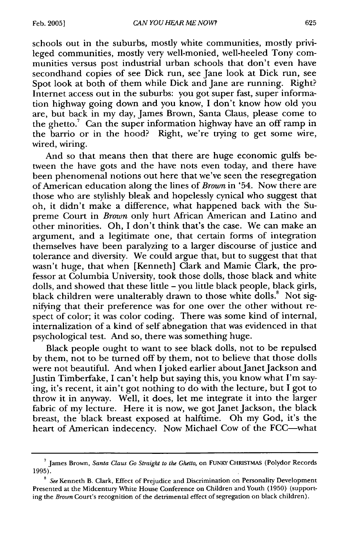schools out in the suburbs, mostly white communities, mostly privileged communities, mostly very well-monied, well-heeled Tony communities versus post industrial urban schools that don't even have secondhand copies of see Dick run, see Jane look at Dick run, see Spot look at both of them while Dick and Jane are running. Right? Internet access out in the suburbs: you got super fast, super information highway going down and you know, I don't know how old you are, but back in my day, James Brown, Santa Claus, please come to the ghetto.<sup>7</sup> Can the super information highway have an off ramp in the barrio or in the hood? Right, we're trying to get some wire, wired, wiring.

And so that means then that there are huge economic gulfs between the have gots and the have nots even today, and there have been phenomenal notions out here that we've seen the resegregation of American education along the lines of *Brown* in '54. Now there are those who are stylishly bleak and hopelessly cynical who suggest that oh, it didn't make a difference, what happened back with the Supreme Court in *Brown* only hurt African American and Latino and other minorities. Oh, I don't think that's the case. We can make an argument, and a legitimate one, that certain forms of integration themselves have been paralyzing to a larger discourse of justice and tolerance and diversity. We could argue that, but to suggest that that wasn't huge, that when [Kenneth] Clark and Mamie Clark, the professor at Columbia University, took those dolls, those black and white dolls, and showed that these little - you little black people, black girls, black children were unalterably drawn to those white dolls.<sup>8</sup> Not signifying that their preference was for one over the other without respect of color; it was color coding. There was some kind of internal, internalization of a kind of self abnegation that was evidenced in that psychological test. And so, there was something huge.

Black people ought to want to see black dolls, not to be repulsed by them, not to be turned off by them, not to believe that those dolls were not beautiful. And when I joked earlier about Janet Jackson and Justin Timberfake, I can't help but saying this, you know what I'm saying, it's recent, it ain't got nothing to do with the lecture, but I got to throw it in anyway. Well, it does, let me integrate it into the larger fabric of my lecture. Here it is now, we got Janet Jackson, the black breast, the black breast exposed at halftime. Oh my God, it's the heart of American indecency. Now Michael Cow of the FCC-what

**<sup>7</sup>**James Brown, *Santa Claus Go Straight to the Ghetto,* on FUNKY CHRISTMAS (Polydor Records 1995).

**<sup>8</sup>***See* Kenneth B. Clark, Effect of Prejudice and Discrimination on Personality Development Presented at the Midcentury White House Conference on Children and Youth (1950) (supporting the *Brown* Court's recognition of the detrimental effect of segregation on black children).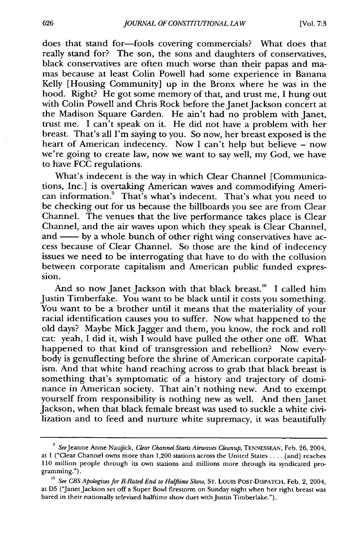does that stand for-fools covering commercials? What does that really stand for? The son, the sons and daughters of conservatives, black conservatives are often much worse than their papas and mamas because at least Colin Powell had some experience in Banana Kelly [Housing Community] up in the Bronx where he was in the hood. Right? He got some memory of that, and trust me, I hung out with Colin Powell and Chris Rock before the Janet Jackson concert at the Madison Square Garden. He ain't had no problem with Janet, trust me. I can't speak on it. He did not have a problem with her breast. That's all I'm saying to you. So now, her breast exposed is the heart of American indecency. Now I can't help but believe - now we're going to create law, now we want to say well, my God, we have to have FCC regulations.

What's indecent is the way in which Clear Channel [Communications, Inc.] is overtaking American waves and commodifying American information. $9$  That's what's indecent. That's what you need to be checking out for us because the billboards you see are from Clear Channel. The venues that the live performance takes place is Clear Channel, and the air waves upon which they speak is Clear Channel, and — by a whole bunch of other right wing conservatives have access because of Clear Channel. So those are the kind of indecency issues we need to be interrogating that have to do with the collusion between corporate capitalism and American public funded expression.

And so now Janet Jackson with that black breast.<sup>10</sup> I called him Justin Timberfake. You want to be black until it costs you something. You want to be a brother until it means that the materiality of your racial identification causes you to suffer. Now what happened to the old days? Maybe Mick Jagger and them, you know, the rock and roll cat: yeah, I did it, wish I would have pulled the other one off. What happened to that kind of transgression and rebellion? Now everybody is genuflecting before the shrine of American corporate capitalism. And that white hand reaching across to grab that black breast is something that's symptomatic of a history and trajectory of dominance in American society. That ain't nothing new. And to exempt yourself from responsibility is nothing new as well. And then Janet Jackson, when that black female breast was used to suckle a white civilization and to feed and nurture white supremacy, it was beautifully

<sup>&</sup>lt;sup>9</sup> See Jeanne Anne Naujick, *Clear Channel Starts Airwaves Cleanup*, TENNESSEAN, Feb. 26, 2004, at 1 ("Clear Channel owns more than 1,200 stations across the United States .... [and] reaches 110 million people through its own stations and millions more through its syndicated programming.").

**<sup>10</sup>***See CBS Apologizes for R-Rated End to Halftime Show,* ST. Louis POST-DISPATCH, Feb. 2, 2004, at D5 ("Janet Jackson set off a Super Bowl firestorm on Sunday night when her right breast was bared in their nationally televised halftime show duet with Justin Timberlake.").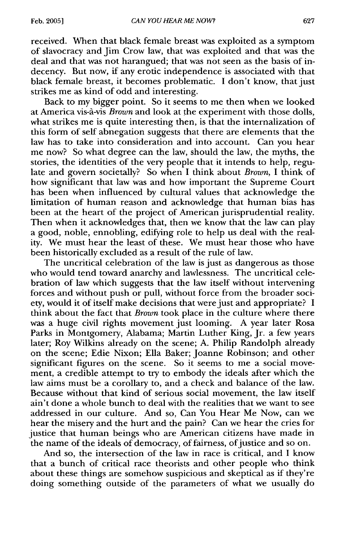received. When that black female breast was exploited as a symptom of slavocracy and Jim Crow law, that was exploited and that was the deal and that was not harangued; that was not seen as the basis of indecency. But now, if any erotic independence is associated with that black female breast, it becomes problematic. I don't know, that just strikes me as kind of odd and interesting.

Back to my bigger point. So it seems to me then when we looked at America vis-A.-vis *Brown* and look at the experiment with those dolls, what strikes me is quite interesting then, is that the internalization of this form of self abnegation suggests that there are elements that the law has to take into consideration and into account. Can you hear me now? So what degree can the law, should the law, the myths, the stories, the identities of the very people that it intends to help, regulate and govern societally? So when I think about *Brown,* I think of how significant that law was and how important the Supreme Court has been when influenced by cultural values that acknowledge the limitation of human reason and acknowledge that human bias has been at the heart of the project of American jurisprudential reality. Then when it acknowledges that, then we know that the law can play a good, noble, ennobling, edifying role to help us deal with the reality. We must hear the least of these. We must hear those who have been historically excluded as a result of the rule of law.

The uncritical celebration of the law is just as dangerous as those who would tend toward anarchy and lawlessness. The uncritical celebration of law which suggests that the law itself without intervening forces and without push or pull, without force from the broader society, would it of itself make decisions that were just and appropriate? I think about the fact that *Brown* took place in the culture where there was a huge civil rights movement just looming. A year later Rosa Parks in Montgomery, Alabama; Martin Luther King, Jr. a few years later; Roy Wilkins already on the scene; A. Philip Randolph already on the scene; Edie Nixon; Ella Baker; Joanne Robinson; and other significant figures on the scene. So it seems to me a social movement, a credible attempt to try to embody the ideals after which the law aims must be a corollary to, and a check and balance of the law. Because without that kind of serious social movement, the law itself ain't done a whole bunch to deal with the realities that we want to see addressed in our culture. And so, Can You Hear Me Now, can we hear the misery and the hurt and the pain? Can we hear the cries for justice that human beings who are American citizens have made in the name of the ideals of democracy, of fairness, of justice and so on.

And so, the intersection of the law in race is critical, and I know that a bunch of critical race theorists and other people who think about these things are somehow suspicious and skeptical as if they're doing something outside of the parameters of what we usually do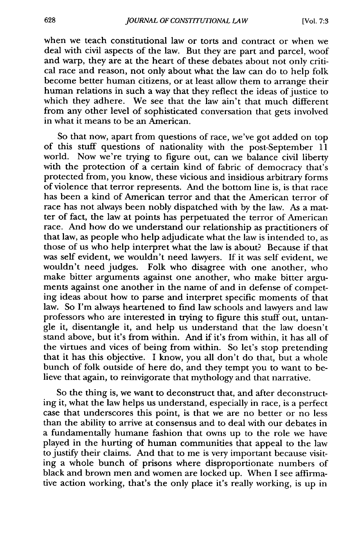when we teach constitutional law or torts and contract or when we deal with civil aspects of the law. But they are part and parcel, woof and warp, they are at the heart of these debates about not only critical race and reason, not only about what the law can do to help folk become better human citizens, or at least allow them to arrange their human relations in such a way that they reflect the ideas of justice to which they adhere. We see that the law ain't that much different from any other level of sophisticated conversation that gets involved in what it means to be an American.

So that now, apart from questions of race, we've got added on top of this stuff questions of nationality with the post-September 11 world. Now we're trying to figure out, can we balance civil liberty with the protection of a certain kind of fabric of democracy that's protected from, you know, these vicious and insidious arbitrary forms of violence that terror represents. And the bottom line is, is that race has been a kind of American terror and that the American terror of race has not always been nobly dispatched with by the law. As a matter of fact, the law at points has perpetuated the terror of American race. And how do we understand our relationship as practitioners of that law, as people who help adjudicate what the law is intended to, as those of us who help interpret what the law is about? Because if that was self evident, we wouldn't need lawyers. If it was self evident, we wouldn't need judges. Folk who disagree with one another, who make bitter arguments against one another, who make bitter arguments against one another in the name of and in defense of competing ideas about how to parse and interpret specific moments of that law. So I'm always heartened to find law schools and lawyers and law professors who are interested in trying to figure this stuff out, untangle it, disentangle it, and help us understand that the law doesn't stand above, but it's from within. And if it's from within, it has all of the virtues and vices of being from within. So let's stop pretending that it has this objective. I know, you all don't do that, but a whole bunch of folk outside of here do, and they tempt you to want to believe that again, to reinvigorate that mythology and that narrative.

So the thing is, we want to deconstruct that, and after deconstructing it, what the law helps us understand, especially in race, is a perfect case that underscores this point, is that we are no better or no less than the ability to arrive at consensus and to deal with our debates in a fundamentally humane fashion that owns up to the role we have played in the hurting of human communities that appeal to the law to justify their claims. And that to me is very important because visiting a whole bunch of prisons where disproportionate numbers of black and brown men and women are locked up. When I see affirmative action working, that's the only place it's really working, is up in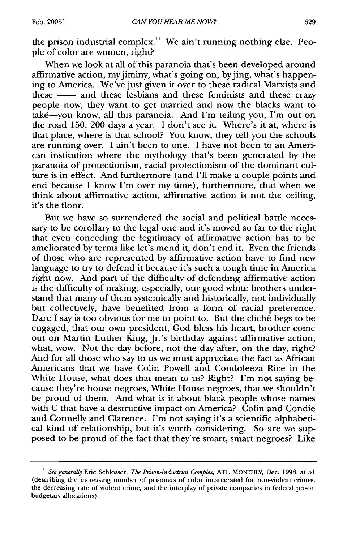the prison industrial complex." We ain't running nothing else. People of color are women, right?

When we look at all of this paranoia that's been developed around affirmative action, my jiminy, what's going on, by jing, what's happening to America. We've just given it over to these radical Marxists and these **-** and these lesbians and these feminists and these crazy people now, they want to get married and now the blacks want to take-you know, all this paranoia. And I'm telling you, I'm out on the road 150, 200 days a year. I don't see it. Where's it at, where is that place, where is that school? You know, they tell you the schools are running over. I ain't been to one. I have not been to an American institution where the mythology that's been generated by the paranoia of protectionism, racial protectionism of the dominant culture is in effect. And furthermore (and I'll make a couple points and end because I know I'm over my time), furthermore, that when we think about affirmative action, affirmative action is not the ceiling, it's the floor.

But we have so surrendered the social and political battle necessary to be corollary to the legal one and it's moved so far to the right that even conceding the legitimacy of affirmative action has to be ameliorated by terms like let's mend it, don't end it. Even the friends of those who are represented by affirmative action have to find new language to try to defend it because it's such a tough time in America right now. And part of the difficulty of defending affirmative action is the difficulty of making, especially, our good white brothers understand that many of them systemically and historically, not individually but collectively, have benefited from a form of racial preference. Dare I say is too obvious for me to point to. But the cliché begs to be engaged, that our own president, God bless his heart, brother come out on Martin Luther King, Jr.'s birthday against affirmative action, what, wow. Not the day before, not the day after, on the day, right? And for all those who say to us we must appreciate the fact as African Americans that we have Colin Powell and Condoleeza Rice in the White House, what does that mean to us? Right? I'm not saying because they're house negroes, White House negroes, that we shouldn't be proud of them. And what is it about black people whose names with C that have a destructive impact on America? Colin and Condie and Connelly and Clarence. I'm not saying it's a scientific alphabetical kind of relationship, but it's worth considering. So are we supposed to be proud of the fact that they're smart, smart negroes? Like

<sup>&</sup>lt;sup>11</sup> See generally Eric Schlosser, *The Prison-Industrial Complex*, ATL. MONTHLY, Dec. 1998, at 51 (describing the increasing number of prisoners of color incarcerated for non-violent crimes, the decreasing rate of violent crime, and the interplay of private companies in federal prison budgetary allocations).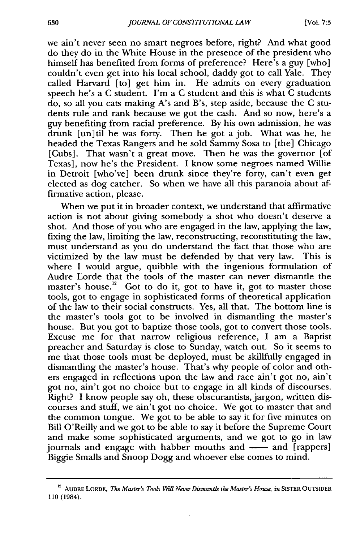we ain't never seen no smart negroes before, right? And what good do they do in the White House in the presence of the president who himself has benefited from forms of preference? Here's a guy [who] couldn't even get into his local school, daddy got to call Yale. They called Harvard [to] get him in. He admits on every graduation speech he's a C student. I'm a C student and this is what C students do, so all you cats making A's and B's, step aside, because the C students rule and rank because we got the cash. And so now, here's a guy benefiting from racial preference. By his own admission, he was drunk [un]til he was forty. Then he got a job. What was he, he headed the Texas Rangers and he sold Sammy Sosa to [the] Chicago [Cubs]. That wasn't a great move. Then he was the governor [of Texas], now he's the President. I know some negroes named Willie in Detroit [who've] been drunk since they're forty, can't even get elected as dog catcher. So when we have all this paranoia about affirmative action, please.

When we put it in broader context, we understand that affirmative action is not about giving somebody a shot who doesn't deserve a shot. And those of you who are engaged in the law, applying the law, fixing the law, limiting the law, reconstructing, reconstituting the law, must understand as you do understand the fact that those who are victimized by the law must be defended by that very law. This is where I would argue, quibble with the ingenious formulation of Audre Lorde that the tools of the master can never dismantle the master's house.<sup>12</sup> Got to do it, got to have it, got to master those tools, got to engage in sophisticated forms of theoretical application of the law to their social constructs. Yes, all that. The bottom line is the master's tools got to be involved in dismantling the master's house. But you got to baptize those tools, got to convert those tools. Excuse me for that narrow religious reference, I am a Baptist preacher and Saturday is close to Sunday, watch out. So it seems to me that those tools must be deployed, must be skillfully engaged in dismantling the master's house. That's why people of color and others engaged in reflections upon the law and race ain't got no, ain't got no, ain't got no choice but to engage in all kinds of discourses. Right? I know people say oh, these obscurantists, jargon, written discourses and stuff, we ain't got no choice. We got to master that and the common tongue. We got to be able to say it for five minutes on Bill O'Reilly and we got to be able to say it before the Supreme Court and make some sophisticated arguments, and we got to go in law journals and engage with habber mouths and **-** and [rappers] Biggie Smalls and Snoop Dogg and whoever else comes to mind.

<sup>12</sup>**AUDRE** LORDE, *The Master's Tools Will Never Dismantle the Master's House, in* SISTER **OUTSIDER** 110 (1984).